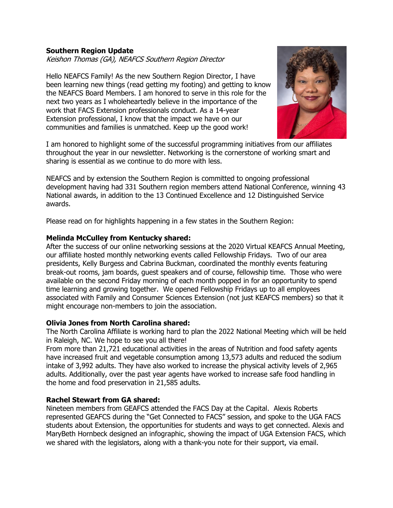# **Southern Region Update**

Keishon Thomas (GA), NEAFCS Southern Region Director

Hello NEAFCS Family! As the new Southern Region Director, I have been learning new things (read getting my footing) and getting to know the NEAFCS Board Members. I am honored to serve in this role for the next two years as I wholeheartedly believe in the importance of the work that FACS Extension professionals conduct. As a 14-year Extension professional, I know that the impact we have on our communities and families is unmatched. Keep up the good work!



I am honored to highlight some of the successful programming initiatives from our affiliates throughout the year in our newsletter. Networking is the cornerstone of working smart and sharing is essential as we continue to do more with less.

NEAFCS and by extension the Southern Region is committed to ongoing professional development having had 331 Southern region members attend National Conference, winning 43 National awards, in addition to the 13 Continued Excellence and 12 Distinguished Service awards.

Please read on for highlights happening in a few states in the Southern Region:

## **Melinda McCulley from Kentucky shared:**

After the success of our online networking sessions at the 2020 Virtual KEAFCS Annual Meeting, our affiliate hosted monthly networking events called Fellowship Fridays. Two of our area presidents, Kelly Burgess and Cabrina Buckman, coordinated the monthly events featuring break-out rooms, jam boards, guest speakers and of course, fellowship time. Those who were available on the second Friday morning of each month popped in for an opportunity to spend time learning and growing together. We opened Fellowship Fridays up to all employees associated with Family and Consumer Sciences Extension (not just KEAFCS members) so that it might encourage non-members to join the association.

## **Olivia Jones from North Carolina shared:**

The North Carolina Affiliate is working hard to plan the 2022 National Meeting which will be held in Raleigh, NC. We hope to see you all there!

From more than 21,721 educational activities in the areas of Nutrition and food safety agents have increased fruit and vegetable consumption among 13,573 adults and reduced the sodium intake of 3,992 adults. They have also worked to increase the physical activity levels of 2,965 adults. Additionally, over the past year agents have worked to increase safe food handling in the home and food preservation in 21,585 adults.

## **Rachel Stewart from GA shared:**

Nineteen members from GEAFCS attended the FACS Day at the Capital. Alexis Roberts represented GEAFCS during the "Get Connected to FACS" session, and spoke to the UGA FACS students about Extension, the opportunities for students and ways to get connected. Alexis and MaryBeth Hornbeck designed an infographic, showing the impact of UGA Extension FACS, which we shared with the legislators, along with a thank-you note for their support, via email.